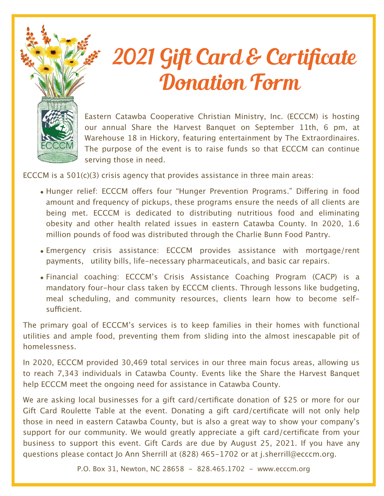

## 2021 Gift Card & Certificate Donation Form

Eastern Catawba Cooperative Christian Ministry, Inc. (ECCCM) is hosting our annual Share the Harvest Banquet on September 11th, 6 pm, at Warehouse 18 in Hickory, featuring entertainment by The Extraordinaires. The purpose of the event is to raise funds so that ECCCM can continue serving those in need.

ECCCM is a  $501(c)(3)$  crisis agency that provides assistance in three main areas:

- Hunger relief: ECCCM offers four "Hunger Prevention Programs." Differing in food amount and frequency of pickups, these programs ensure the needs of all clients are being met. ECCCM is dedicated to distributing nutritious food and eliminating obesity and other health related issues in eastern Catawba County. In 2020, 1.6 million pounds of food was distributed through the Charlie Bunn Food Pantry.
- Emergency crisis assistance: ECCCM provides assistance with mortgage/rent payments, utility bills, life-necessary pharmaceuticals, and basic car repairs.
- Financial coaching: ECCCM's Crisis Assistance Coaching Program (CACP) is a mandatory four-hour class taken by ECCCM clients. Through lessons like budgeting, meal scheduling, and community resources, clients learn how to become selfsufficient.

The primary goal of ECCCM's services is to keep families in their homes with functional utilities and ample food, preventing them from sliding into the almost inescapable pit of homelessness.

In 2020, ECCCM provided 30,469 total services in our three main focus areas, allowing us to reach 7,343 individuals in Catawba County. Events like the Share the Harvest Banquet help ECCCM meet the ongoing need for assistance in Catawba County.

We are asking local businesses for a gift card/certificate donation of \$25 or more for our Gift Card Roulette Table at the event. Donating a gift card/certificate will not only help those in need in eastern Catawba County, but is also a great way to show your company's support for our community. We would greatly appreciate a gift card/certificate from your business to support this event. Gift Cards are due by August 25, 2021. If you have any questions please contact Jo Ann Sherrill at (828) 465-1702 or at j.sherrill@ecccm.org.

P.O. Box 31, Newton, NC 28658 - 828.465.1702 - www.ecccm.org